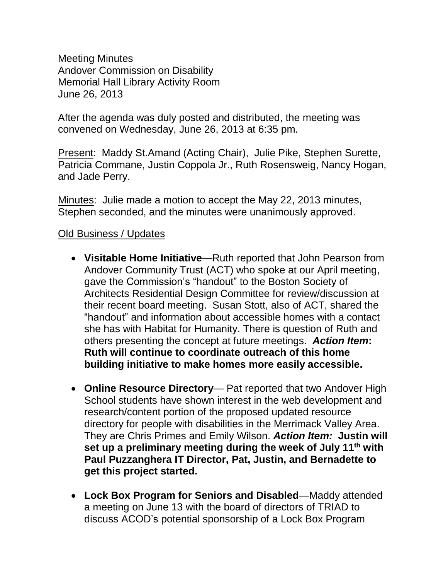Meeting Minutes Andover Commission on Disability Memorial Hall Library Activity Room June 26, 2013

After the agenda was duly posted and distributed, the meeting was convened on Wednesday, June 26, 2013 at 6:35 pm.

Present: Maddy St.Amand (Acting Chair), Julie Pike, Stephen Surette, Patricia Commane, Justin Coppola Jr., Ruth Rosensweig, Nancy Hogan, and Jade Perry.

Minutes: Julie made a motion to accept the May 22, 2013 minutes, Stephen seconded, and the minutes were unanimously approved.

# Old Business / Updates

- **Visitable Home Initiative**—Ruth reported that John Pearson from Andover Community Trust (ACT) who spoke at our April meeting, gave the Commission's "handout" to the Boston Society of Architects Residential Design Committee for review/discussion at their recent board meeting. Susan Stott, also of ACT, shared the "handout" and information about accessible homes with a contact she has with Habitat for Humanity. There is question of Ruth and others presenting the concept at future meetings. *Action Item***: Ruth will continue to coordinate outreach of this home building initiative to make homes more easily accessible.**
- **Online Resource Directory** Pat reported that two Andover High School students have shown interest in the web development and research/content portion of the proposed updated resource directory for people with disabilities in the Merrimack Valley Area. They are Chris Primes and Emily Wilson. *Action Item:* **Justin will set up a preliminary meeting during the week of July 11th with Paul Puzzanghera IT Director, Pat, Justin, and Bernadette to get this project started.**
- **Lock Box Program for Seniors and Disabled**—Maddy attended a meeting on June 13 with the board of directors of TRIAD to discuss ACOD's potential sponsorship of a Lock Box Program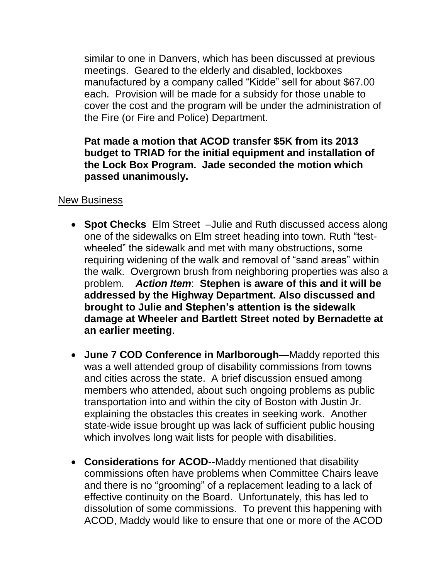similar to one in Danvers, which has been discussed at previous meetings. Geared to the elderly and disabled, lockboxes manufactured by a company called "Kidde" sell for about \$67.00 each. Provision will be made for a subsidy for those unable to cover the cost and the program will be under the administration of the Fire (or Fire and Police) Department.

## **Pat made a motion that ACOD transfer \$5K from its 2013 budget to TRIAD for the initial equipment and installation of the Lock Box Program. Jade seconded the motion which passed unanimously.**

### New Business

- **Spot Checks** Elm Street –Julie and Ruth discussed access along one of the sidewalks on Elm street heading into town. Ruth "testwheeled" the sidewalk and met with many obstructions, some requiring widening of the walk and removal of "sand areas" within the walk. Overgrown brush from neighboring properties was also a problem. *Action Item*: **Stephen is aware of this and it will be addressed by the Highway Department. Also discussed and brought to Julie and Stephen's attention is the sidewalk damage at Wheeler and Bartlett Street noted by Bernadette at an earlier meeting**.
- **June 7 COD Conference in Marlborough**—Maddy reported this was a well attended group of disability commissions from towns and cities across the state. A brief discussion ensued among members who attended, about such ongoing problems as public transportation into and within the city of Boston with Justin Jr. explaining the obstacles this creates in seeking work. Another state-wide issue brought up was lack of sufficient public housing which involves long wait lists for people with disabilities.
- **Considerations for ACOD--**Maddy mentioned that disability commissions often have problems when Committee Chairs leave and there is no "grooming" of a replacement leading to a lack of effective continuity on the Board. Unfortunately, this has led to dissolution of some commissions. To prevent this happening with ACOD, Maddy would like to ensure that one or more of the ACOD